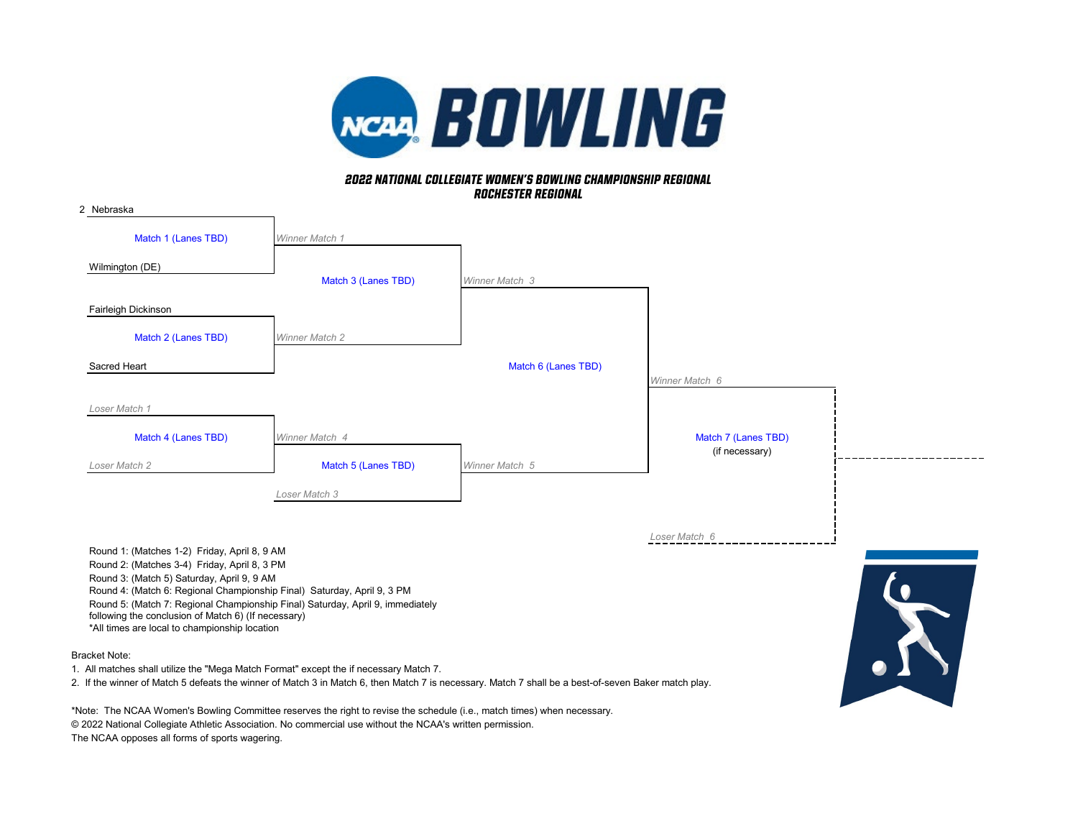

## *rochester regional 2022 NATIONAL COLLEGIATE WOMEN'S BOWLING CHAMPIONSHIP REGIONAL*

| 2 Nebraska                                                                                                                                                                                                                                                                                                                                                                                                                              |                       |                     |                     |  |
|-----------------------------------------------------------------------------------------------------------------------------------------------------------------------------------------------------------------------------------------------------------------------------------------------------------------------------------------------------------------------------------------------------------------------------------------|-----------------------|---------------------|---------------------|--|
| Match 1 (Lanes TBD)                                                                                                                                                                                                                                                                                                                                                                                                                     | Winner Match 1        |                     |                     |  |
| Wilmington (DE)                                                                                                                                                                                                                                                                                                                                                                                                                         | Match 3 (Lanes TBD)   | Winner Match 3      |                     |  |
| Fairleigh Dickinson                                                                                                                                                                                                                                                                                                                                                                                                                     |                       |                     |                     |  |
| Match 2 (Lanes TBD)                                                                                                                                                                                                                                                                                                                                                                                                                     | <b>Winner Match 2</b> |                     |                     |  |
| Sacred Heart                                                                                                                                                                                                                                                                                                                                                                                                                            |                       | Match 6 (Lanes TBD) | Winner Match 6      |  |
| Loser Match 1                                                                                                                                                                                                                                                                                                                                                                                                                           |                       |                     |                     |  |
| Match 4 (Lanes TBD)                                                                                                                                                                                                                                                                                                                                                                                                                     | Winner Match 4        |                     | Match 7 (Lanes TBD) |  |
| Loser Match 2                                                                                                                                                                                                                                                                                                                                                                                                                           | Match 5 (Lanes TBD)   | Winner Match 5      | (if necessary)      |  |
|                                                                                                                                                                                                                                                                                                                                                                                                                                         | Loser Match 3         |                     |                     |  |
| Round 1: (Matches 1-2) Friday, April 8, 9 AM<br>Round 2: (Matches 3-4) Friday, April 8, 3 PM<br>Round 3: (Match 5) Saturday, April 9, 9 AM<br>Round 4: (Match 6: Regional Championship Final) Saturday, April 9, 3 PM<br>Round 5: (Match 7: Regional Championship Final) Saturday, April 9, immediately<br>following the conclusion of Match 6) (If necessary)<br>*All times are local to championship location<br><b>Bracket Note:</b> |                       |                     | Loser Match 6       |  |

1. All matches shall utilize the "Mega Match Format" except the if necessary Match 7.

2. If the winner of Match 5 defeats the winner of Match 3 in Match 6, then Match 7 is necessary. Match 7 shall be a best-of-seven Baker match play.

\*Note: The NCAA Women's Bowling Committee reserves the right to revise the schedule (i.e., match times) when necessary. © 2022 National Collegiate Athletic Association. No commercial use without the NCAA's written permission. The NCAA opposes all forms of sports wagering.

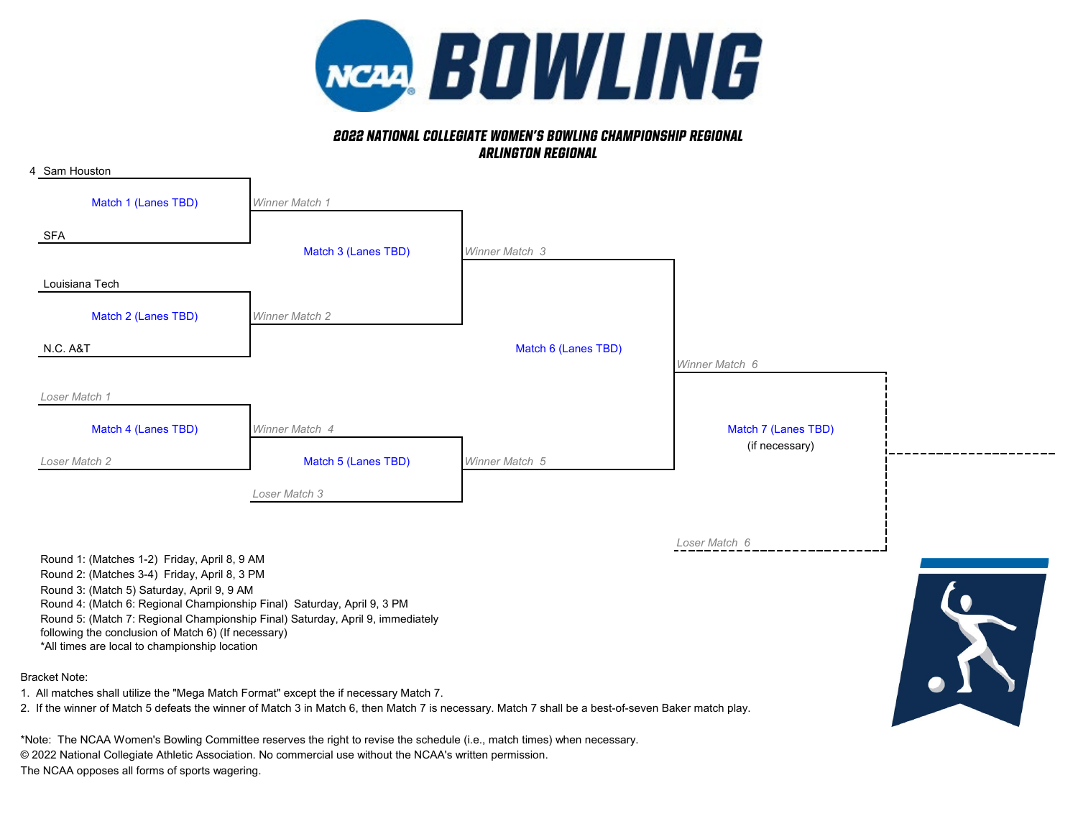

## *2022 NATIONAL COLLEGIATE WOMEN'S BOWLING CHAMPIONSHIP REGIONAL Arlington Regional*



2. If the winner of Match 5 defeats the winner of Match 3 in Match 6, then Match 7 is necessary. Match 7 shall be a best-of-seven Baker match play.

\*Note: The NCAA Women's Bowling Committee reserves the right to revise the schedule (i.e., match times) when necessary.

© 2022 National Collegiate Athletic Association. No commercial use without the NCAA's written permission.

The NCAA opposes all forms of sports wagering.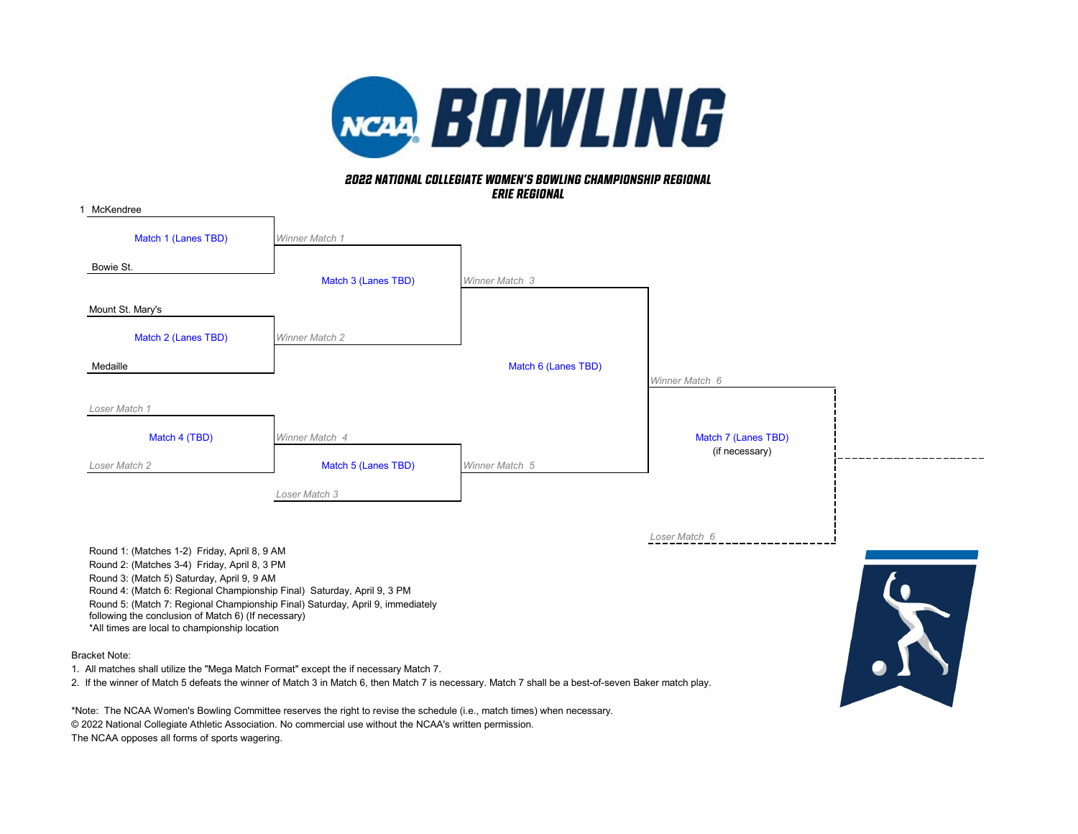

## *erie Regional 2022 NATIONAL COLLEGIATE WOMEN'S BOWLING CHAMPIONSHIP REGIONAL*

| 1 McKendree                                                                                                                                               |                       |                     |                     |  |
|-----------------------------------------------------------------------------------------------------------------------------------------------------------|-----------------------|---------------------|---------------------|--|
| Match 1 (Lanes TBD)                                                                                                                                       | Winner Match 1        |                     |                     |  |
| Bowie St.                                                                                                                                                 |                       |                     |                     |  |
|                                                                                                                                                           | Match 3 (Lanes TBD)   | Winner Match 3      |                     |  |
| Mount St. Mary's                                                                                                                                          |                       |                     |                     |  |
| Match 2 (Lanes TBD)                                                                                                                                       | <b>Winner Match 2</b> |                     |                     |  |
| Medaille                                                                                                                                                  |                       | Match 6 (Lanes TBD) |                     |  |
|                                                                                                                                                           |                       |                     | Winner Match 6      |  |
| Loser Match 1                                                                                                                                             |                       |                     |                     |  |
| Match 4 (TBD)                                                                                                                                             | Winner Match 4        |                     | Match 7 (Lanes TBD) |  |
| Loser Match 2                                                                                                                                             | Match 5 (Lanes TBD)   | Winner Match 5      | (if necessary)      |  |
|                                                                                                                                                           | Loser Match 3         |                     |                     |  |
|                                                                                                                                                           |                       |                     |                     |  |
|                                                                                                                                                           |                       |                     | Loser Match 6       |  |
| Round 1: (Matches 1-2) Friday, April 8, 9 AM<br>Round 2: (Matches 3-4) Friday, April 8, 3 PM                                                              |                       |                     |                     |  |
| Round 3: (Match 5) Saturday, April 9, 9 AM                                                                                                                |                       |                     |                     |  |
| Round 4: (Match 6: Regional Championship Final) Saturday, April 9, 3 PM<br>Round 5: (Match 7: Regional Championship Final) Saturday, April 9, immediately |                       |                     |                     |  |
| following the conclusion of Match 6) (If necessary)<br>*All times are local to championship location                                                      |                       |                     |                     |  |
|                                                                                                                                                           |                       |                     |                     |  |
| <b>Bracket Note:</b>                                                                                                                                      |                       |                     |                     |  |

1. All matches shall utilize the "Mega Match Format" except the if necessary Match 7.

2. If the winner of Match 5 defeats the winner of Match 3 in Match 6, then Match 7 is necessary. Match 7 shall be a best-of-seven Baker match play.

\*Note: The NCAA Women's Bowling Committee reserves the right to revise the schedule (i.e., match times) when necessary. © 2022 National Collegiate Athletic Association. No commercial use without the NCAA's written permission. The NCAA opposes all forms of sports wagering.